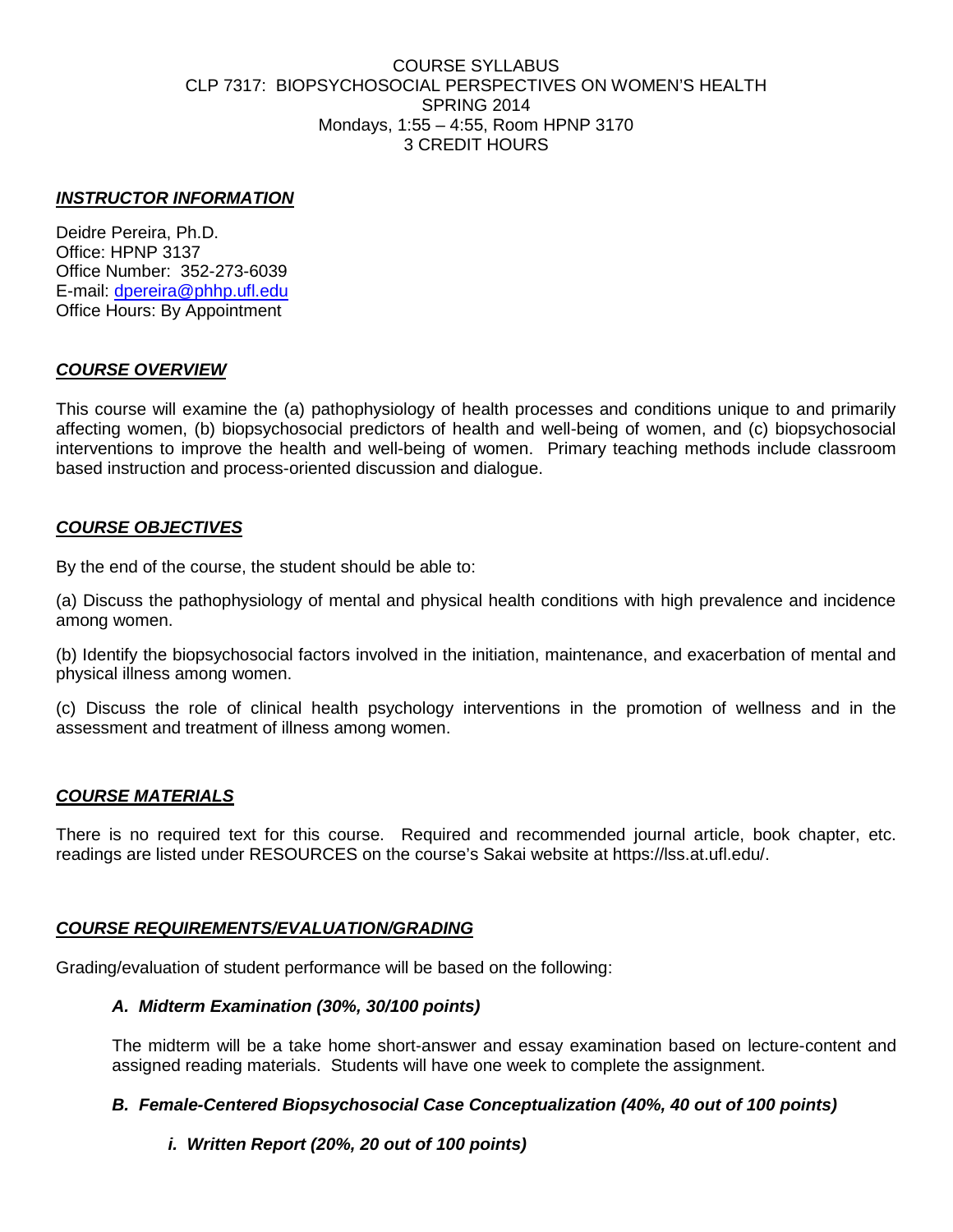#### COURSE SYLLABUS CLP 7317: BIOPSYCHOSOCIAL PERSPECTIVES ON WOMEN'S HEALTH SPRING 2014 Mondays, 1:55 – 4:55, Room HPNP 3170 3 CREDIT HOURS

#### *INSTRUCTOR INFORMATION*

Deidre Pereira, Ph.D. Office: HPNP 3137 Office Number: 352-273-6039 E-mail: [dpereira@phhp.ufl.edu](mailto:dpereira@phhp.ufl.edu) Office Hours: By Appointment

## *COURSE OVERVIEW*

This course will examine the (a) pathophysiology of health processes and conditions unique to and primarily affecting women, (b) biopsychosocial predictors of health and well-being of women, and (c) biopsychosocial interventions to improve the health and well-being of women. Primary teaching methods include classroom based instruction and process-oriented discussion and dialogue.

#### *COURSE OBJECTIVES*

By the end of the course, the student should be able to:

(a) Discuss the pathophysiology of mental and physical health conditions with high prevalence and incidence among women.

(b) Identify the biopsychosocial factors involved in the initiation, maintenance, and exacerbation of mental and physical illness among women.

(c) Discuss the role of clinical health psychology interventions in the promotion of wellness and in the assessment and treatment of illness among women.

## *COURSE MATERIALS*

There is no required text for this course. Required and recommended journal article, book chapter, etc. readings are listed under RESOURCES on the course's Sakai website at https://lss.at.ufl.edu/.

#### *COURSE REQUIREMENTS/EVALUATION/GRADING*

Grading/evaluation of student performance will be based on the following:

#### *A. Midterm Examination (30%, 30/100 points)*

The midterm will be a take home short-answer and essay examination based on lecture-content and assigned reading materials. Students will have one week to complete the assignment.

#### *B. Female-Centered Biopsychosocial Case Conceptualization (40%, 40 out of 100 points)*

#### *i. Written Report (20%, 20 out of 100 points)*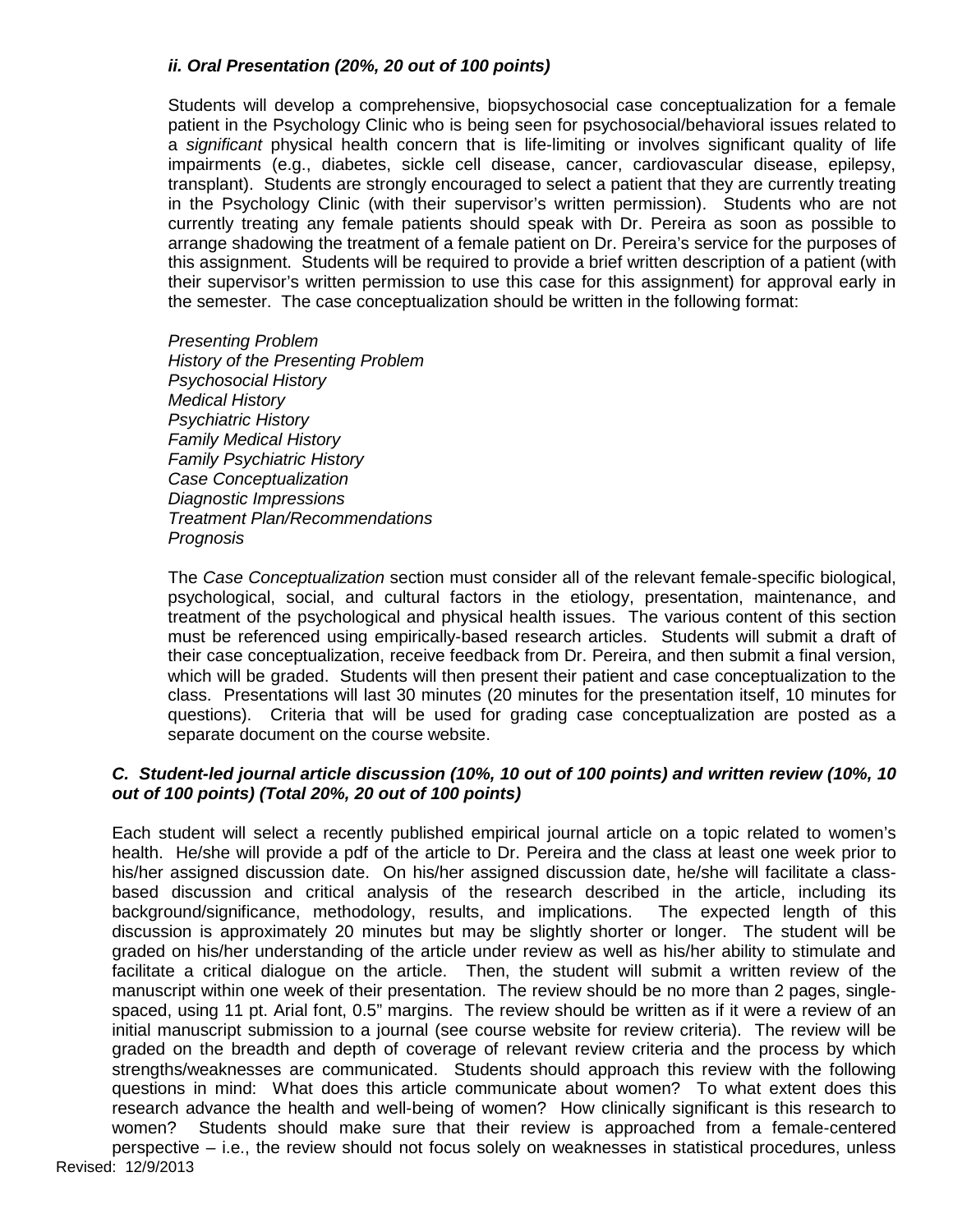# *ii. Oral Presentation (20%, 20 out of 100 points)*

Students will develop a comprehensive, biopsychosocial case conceptualization for a female patient in the Psychology Clinic who is being seen for psychosocial/behavioral issues related to a *significant* physical health concern that is life-limiting or involves significant quality of life impairments (e.g., diabetes, sickle cell disease, cancer, cardiovascular disease, epilepsy, transplant). Students are strongly encouraged to select a patient that they are currently treating in the Psychology Clinic (with their supervisor's written permission). Students who are not currently treating any female patients should speak with Dr. Pereira as soon as possible to arrange shadowing the treatment of a female patient on Dr. Pereira's service for the purposes of this assignment. Students will be required to provide a brief written description of a patient (with their supervisor's written permission to use this case for this assignment) for approval early in the semester. The case conceptualization should be written in the following format:

*Presenting Problem History of the Presenting Problem Psychosocial History Medical History Psychiatric History Family Medical History Family Psychiatric History Case Conceptualization Diagnostic Impressions Treatment Plan/Recommendations Prognosis*

The *Case Conceptualization* section must consider all of the relevant female-specific biological, psychological, social, and cultural factors in the etiology, presentation, maintenance, and treatment of the psychological and physical health issues. The various content of this section must be referenced using empirically-based research articles. Students will submit a draft of their case conceptualization, receive feedback from Dr. Pereira, and then submit a final version, which will be graded. Students will then present their patient and case conceptualization to the class. Presentations will last 30 minutes (20 minutes for the presentation itself, 10 minutes for questions). Criteria that will be used for grading case conceptualization are posted as a separate document on the course website.

#### *C. Student-led journal article discussion (10%, 10 out of 100 points) and written review (10%, 10 out of 100 points) (Total 20%, 20 out of 100 points)*

Revised: 12/9/2013 Each student will select a recently published empirical journal article on a topic related to women's health. He/she will provide a pdf of the article to Dr. Pereira and the class at least one week prior to his/her assigned discussion date. On his/her assigned discussion date, he/she will facilitate a classbased discussion and critical analysis of the research described in the article, including its background/significance, methodology, results, and implications. The expected length of this discussion is approximately 20 minutes but may be slightly shorter or longer. The student will be graded on his/her understanding of the article under review as well as his/her ability to stimulate and facilitate a critical dialogue on the article. Then, the student will submit a written review of the manuscript within one week of their presentation. The review should be no more than 2 pages, singlespaced, using 11 pt. Arial font, 0.5" margins. The review should be written as if it were a review of an initial manuscript submission to a journal (see course website for review criteria). The review will be graded on the breadth and depth of coverage of relevant review criteria and the process by which strengths/weaknesses are communicated. Students should approach this review with the following questions in mind: What does this article communicate about women? To what extent does this research advance the health and well-being of women? How clinically significant is this research to women? Students should make sure that their review is approached from a female-centered perspective – i.e., the review should not focus solely on weaknesses in statistical procedures, unless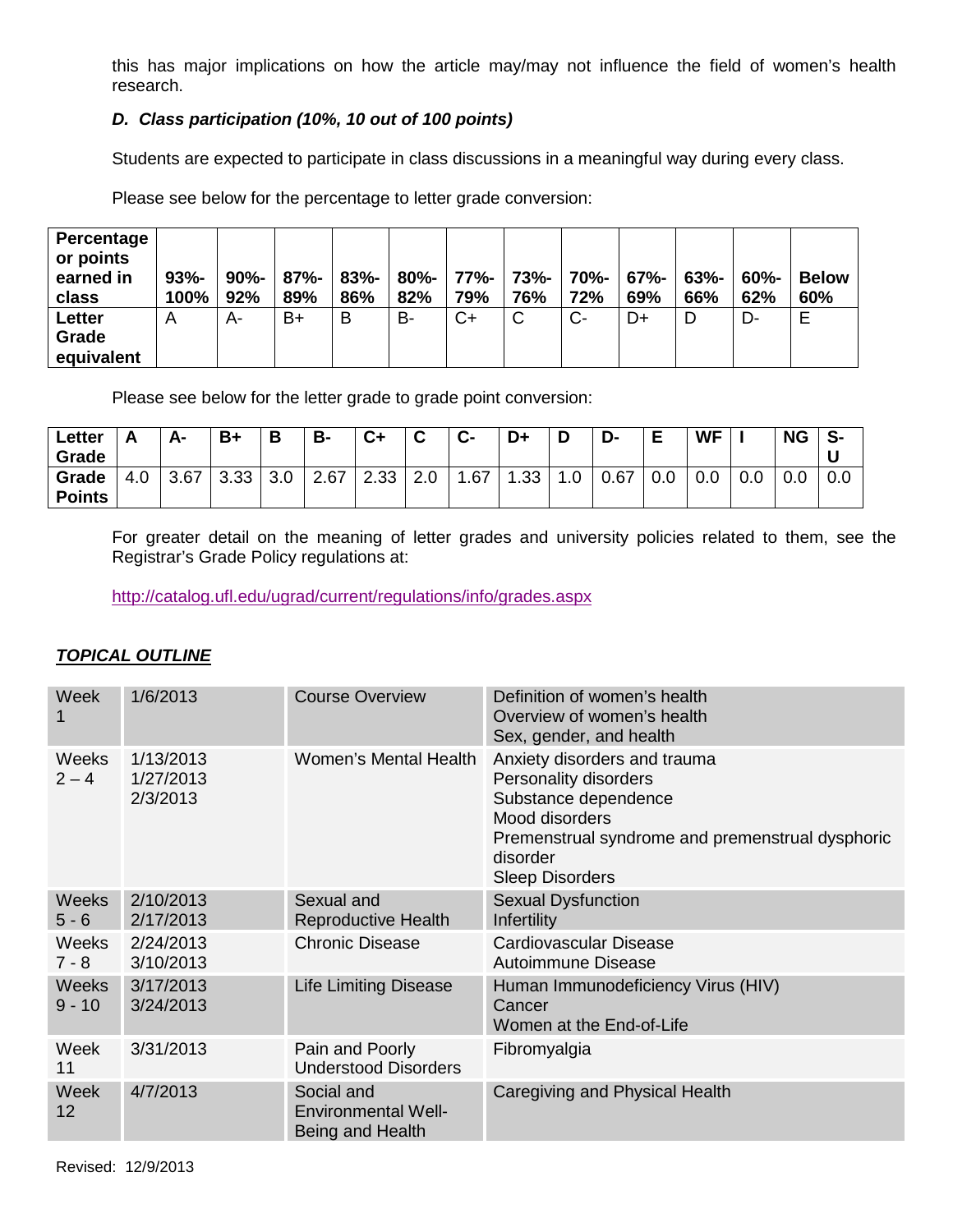this has major implications on how the article may/may not influence the field of women's health research.

# *D. Class participation (10%, 10 out of 100 points)*

Students are expected to participate in class discussions in a meaningful way during every class.

Please see below for the percentage to letter grade conversion:

| Percentage<br>or points<br>earned in<br>class | $93% -$<br>100% | $90\%$ -<br>92% | $87% -$<br>89% | $83% -$<br>86% | $80% -$<br>82% | 77%-<br>79% | <b>73%-</b><br>76% | 70%-<br>72% | $67% -$<br>69% | $63% -$<br>66% | $60\%$ -<br>62% | <b>Below</b><br>60% |
|-----------------------------------------------|-----------------|-----------------|----------------|----------------|----------------|-------------|--------------------|-------------|----------------|----------------|-----------------|---------------------|
| Letter<br>Grade<br>equivalent                 | Α               | A-              | B+             | B              | B-             | $C+$        | C                  | C-          | D+             | D              | D-              | Е                   |

Please see below for the letter grade to grade point conversion:

| Letter<br>Grade        |                    | А-   | $B+$ | Ð   | <b>B-</b> | $C+$ | $\sim$<br>ັ | $C-$ | D+  |              | -ע   | Е   | <b>WF</b> |     | <b>NG</b> | S-  |
|------------------------|--------------------|------|------|-----|-----------|------|-------------|------|-----|--------------|------|-----|-----------|-----|-----------|-----|
| Grade<br><b>Points</b> | $\cap$<br>4<br>t.U | 3.67 | 3.33 | 3.0 | 2.67      | 2.33 | 2.J         | .67  | .33 | $\sim$<br>.v | 0.67 | 0.0 | 0.0       | 0.0 | 0.0       | 0.0 |

For greater detail on the meaning of letter grades and university policies related to them, see the Registrar's Grade Policy regulations at:

<http://catalog.ufl.edu/ugrad/current/regulations/info/grades.aspx>

## *TOPICAL OUTLINE*

| Week                     | 1/6/2013                           | <b>Course Overview</b>                                       | Definition of women's health<br>Overview of women's health<br>Sex, gender, and health                                                                                                     |
|--------------------------|------------------------------------|--------------------------------------------------------------|-------------------------------------------------------------------------------------------------------------------------------------------------------------------------------------------|
| Weeks<br>$2 - 4$         | 1/13/2013<br>1/27/2013<br>2/3/2013 | <b>Women's Mental Health</b>                                 | Anxiety disorders and trauma<br>Personality disorders<br>Substance dependence<br>Mood disorders<br>Premenstrual syndrome and premenstrual dysphoric<br>disorder<br><b>Sleep Disorders</b> |
| <b>Weeks</b><br>$5 - 6$  | 2/10/2013<br>2/17/2013             | Sexual and<br><b>Reproductive Health</b>                     | <b>Sexual Dysfunction</b><br>Infertility                                                                                                                                                  |
| <b>Weeks</b><br>$7 - 8$  | 2/24/2013<br>3/10/2013             | <b>Chronic Disease</b>                                       | Cardiovascular Disease<br>Autoimmune Disease                                                                                                                                              |
| <b>Weeks</b><br>$9 - 10$ | 3/17/2013<br>3/24/2013             | <b>Life Limiting Disease</b>                                 | Human Immunodeficiency Virus (HIV)<br>Cancer<br>Women at the End-of-Life                                                                                                                  |
| Week<br>11               | 3/31/2013                          | Pain and Poorly<br><b>Understood Disorders</b>               | Fibromyalgia                                                                                                                                                                              |
| <b>Week</b><br>12        | 4/7/2013                           | Social and<br><b>Environmental Well-</b><br>Being and Health | Caregiving and Physical Health                                                                                                                                                            |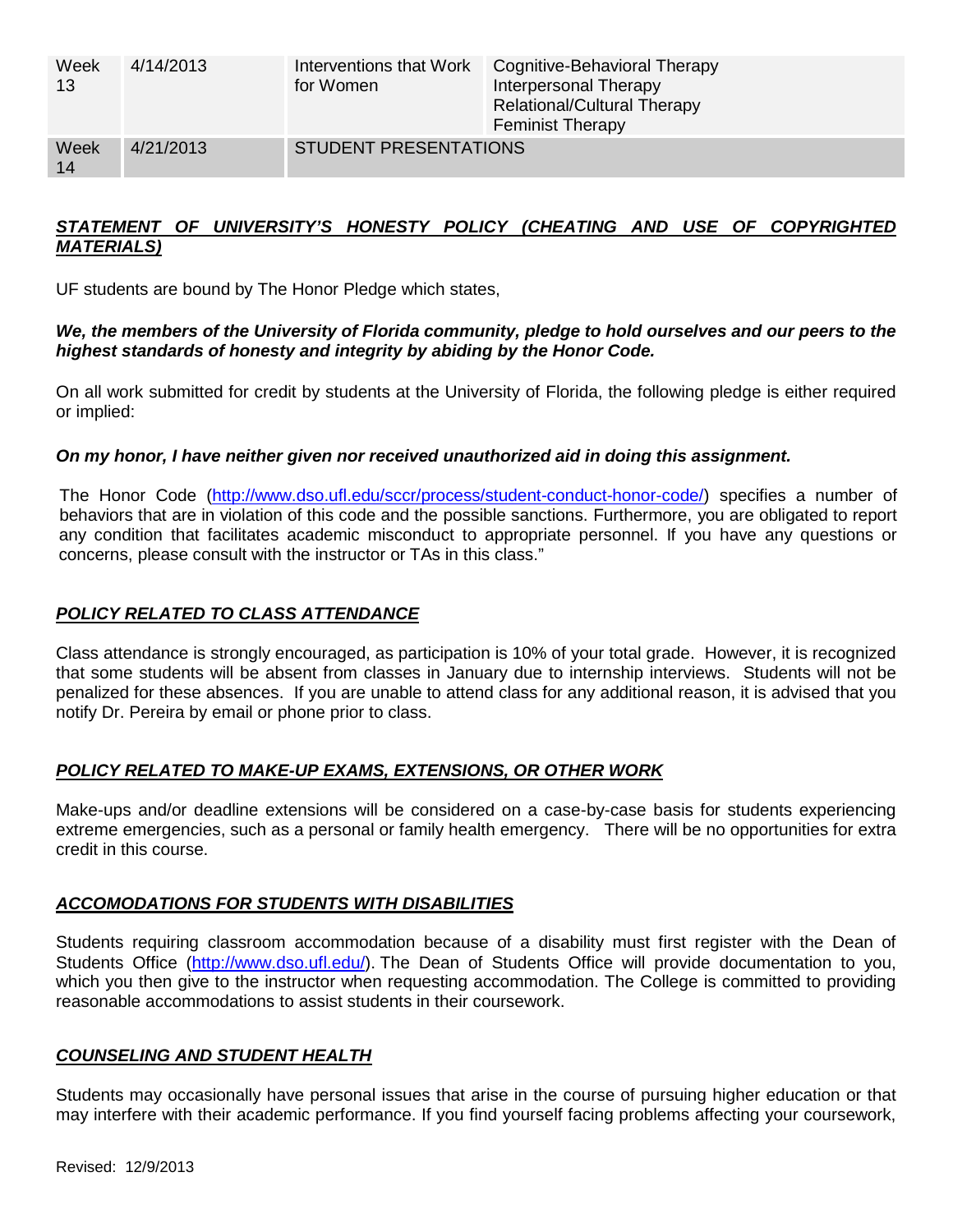| Week<br>13 | 4/14/2013 | Interventions that Work<br>for Women | Cognitive-Behavioral Therapy<br>Interpersonal Therapy<br><b>Relational/Cultural Therapy</b><br><b>Feminist Therapy</b> |
|------------|-----------|--------------------------------------|------------------------------------------------------------------------------------------------------------------------|
| Week<br>14 | 4/21/2013 | <b>STUDENT PRESENTATIONS</b>         |                                                                                                                        |

## *STATEMENT OF UNIVERSITY'S HONESTY POLICY (CHEATING AND USE OF COPYRIGHTED MATERIALS)*

UF students are bound by The Honor Pledge which states,

## *We, the members of the University of Florida community, pledge to hold ourselves and our peers to the highest standards of honesty and integrity by abiding by the Honor Code.*

On all work submitted for credit by students at the University of Florida, the following pledge is either required or implied:

# *On my honor, I have neither given nor received unauthorized aid in doing this assignment.*

The Honor Code [\(http://www.dso.ufl.edu/sccr/process/student-conduct-honor-code/\)](http://www.dso.ufl.edu/sccr/process/student-conduct-honor-code/) specifies a number of behaviors that are in violation of this code and the possible sanctions. Furthermore, you are obligated to report any condition that facilitates academic misconduct to appropriate personnel. If you have any questions or concerns, please consult with the instructor or TAs in this class."

# *POLICY RELATED TO CLASS ATTENDANCE*

Class attendance is strongly encouraged, as participation is 10% of your total grade. However, it is recognized that some students will be absent from classes in January due to internship interviews. Students will not be penalized for these absences. If you are unable to attend class for any additional reason, it is advised that you notify Dr. Pereira by email or phone prior to class.

## *POLICY RELATED TO MAKE-UP EXAMS, EXTENSIONS, OR OTHER WORK*

Make-ups and/or deadline extensions will be considered on a case-by-case basis for students experiencing extreme emergencies, such as a personal or family health emergency. There will be no opportunities for extra credit in this course.

# *ACCOMODATIONS FOR STUDENTS WITH DISABILITIES*

Students requiring classroom accommodation because of a disability must first register with the Dean of Students Office [\(http://www.dso.ufl.edu/\)](http://www.dso.ufl.edu/). The Dean of Students Office will provide documentation to you, which you then give to the instructor when requesting accommodation. The College is committed to providing reasonable accommodations to assist students in their coursework.

## *COUNSELING AND STUDENT HEALTH*

Students may occasionally have personal issues that arise in the course of pursuing higher education or that may interfere with their academic performance. If you find yourself facing problems affecting your coursework,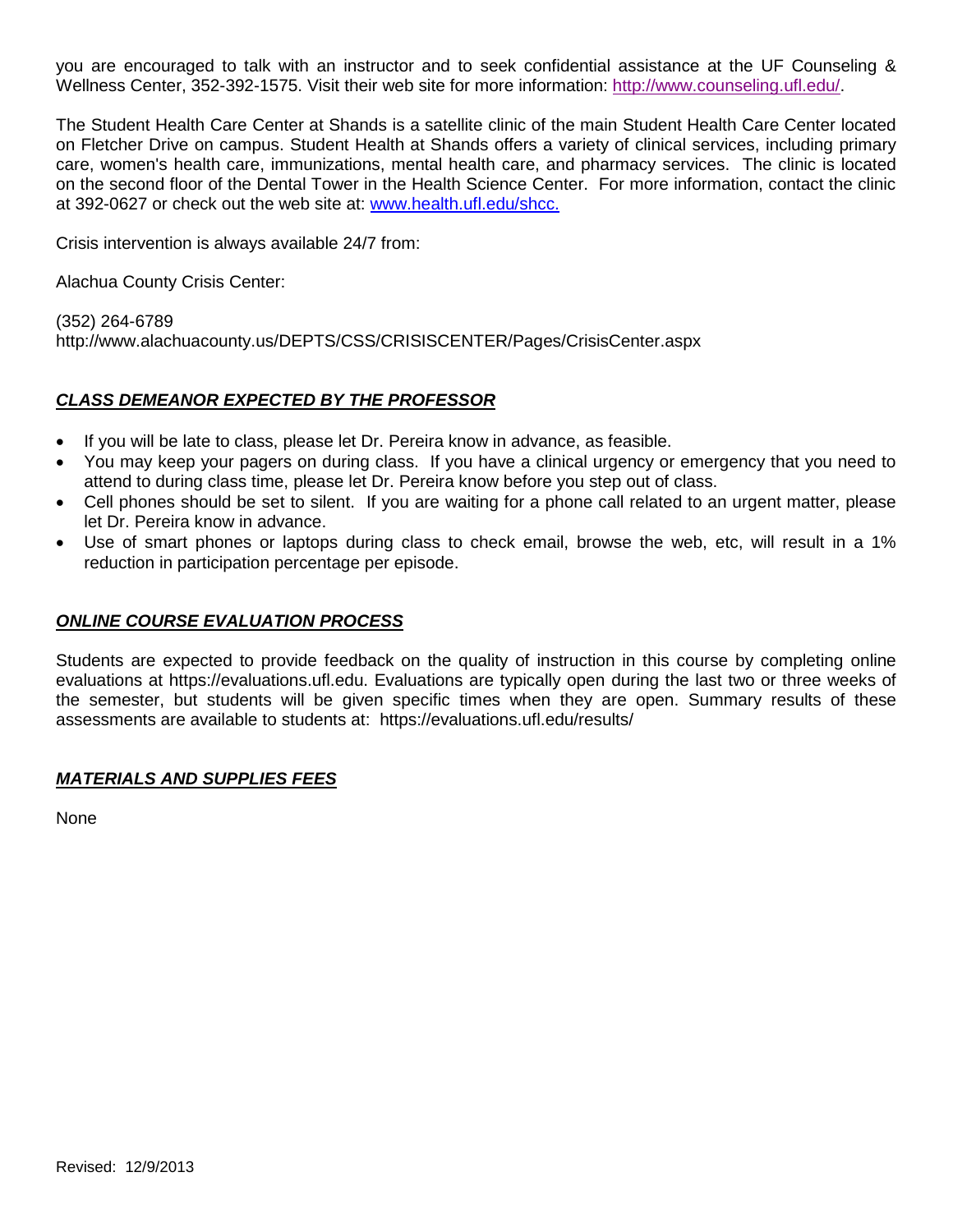you are encouraged to talk with an instructor and to seek confidential assistance at the UF Counseling & Wellness Center, 352-392-1575. Visit their web site for more information: [http://www.counseling.ufl.edu/.](http://www.counseling.ufl.edu/)

The Student Health Care Center at Shands is a satellite clinic of the main Student Health Care Center located on Fletcher Drive on campus. Student Health at Shands offers a variety of clinical services, including primary care, women's health care, immunizations, mental health care, and pharmacy services. The clinic is located on the second floor of the Dental Tower in the Health Science Center. For more information, contact the clinic at 392-0627 or check out the web site at: [www.health.ufl.edu/shcc.](http://www.health.ufl.edu/shcc)

Crisis intervention is always available 24/7 from:

Alachua County Crisis Center:

(352) 264-6789 http://www.alachuacounty.us/DEPTS/CSS/CRISISCENTER/Pages/CrisisCenter.aspx

## *CLASS DEMEANOR EXPECTED BY THE PROFESSOR*

- If you will be late to class, please let Dr. Pereira know in advance, as feasible.
- You may keep your pagers on during class. If you have a clinical urgency or emergency that you need to attend to during class time, please let Dr. Pereira know before you step out of class.
- Cell phones should be set to silent. If you are waiting for a phone call related to an urgent matter, please let Dr. Pereira know in advance.
- Use of smart phones or laptops during class to check email, browse the web, etc, will result in a 1% reduction in participation percentage per episode.

## *ONLINE COURSE EVALUATION PROCESS*

Students are expected to provide feedback on the quality of instruction in this course by completing online evaluations at https://evaluations.ufl.edu. Evaluations are typically open during the last two or three weeks of the semester, but students will be given specific times when they are open. Summary results of these assessments are available to students at: https://evaluations.ufl.edu/results/

## *MATERIALS AND SUPPLIES FEES*

**None**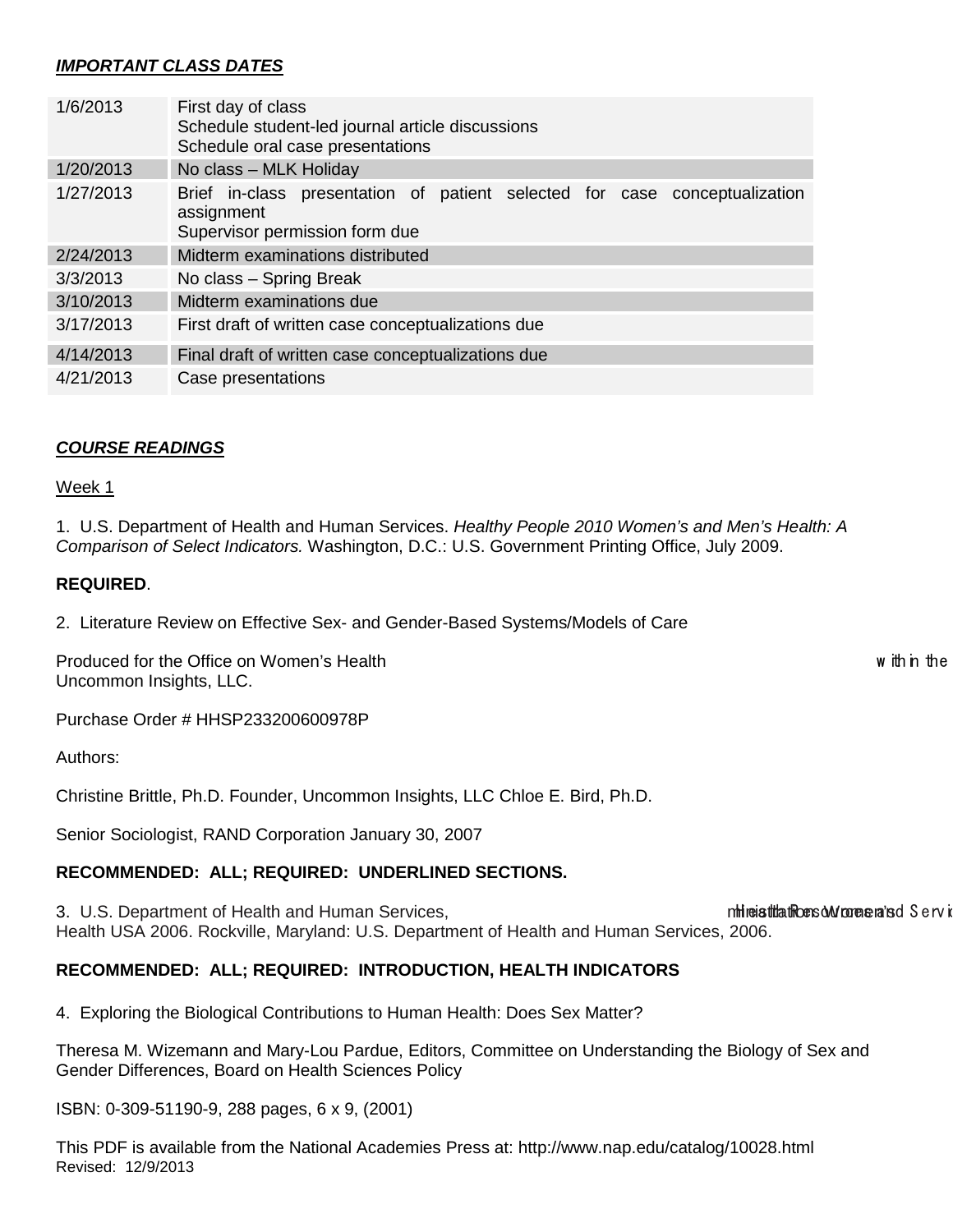# *IMPORTANT CLASS DATES*

| 1/6/2013  | First day of class<br>Schedule student-led journal article discussions<br>Schedule oral case presentations                 |  |  |  |  |  |
|-----------|----------------------------------------------------------------------------------------------------------------------------|--|--|--|--|--|
| 1/20/2013 | No class - MLK Holiday                                                                                                     |  |  |  |  |  |
| 1/27/2013 | Brief in-class presentation of patient selected for case conceptualization<br>assignment<br>Supervisor permission form due |  |  |  |  |  |
| 2/24/2013 | Midterm examinations distributed                                                                                           |  |  |  |  |  |
| 3/3/2013  | No class - Spring Break                                                                                                    |  |  |  |  |  |
| 3/10/2013 | Midterm examinations due                                                                                                   |  |  |  |  |  |
| 3/17/2013 | First draft of written case conceptualizations due                                                                         |  |  |  |  |  |
| 4/14/2013 | Final draft of written case conceptualizations due                                                                         |  |  |  |  |  |
| 4/21/2013 | Case presentations                                                                                                         |  |  |  |  |  |

## *COURSE READINGS*

#### Week 1

1. U.S. Department of Health and Human Services. *Healthy People 2010 Women's and Men's Health: A Comparison of Select Indicators.* Washington, D.C.: U.S. Government Printing Office, July 2009.

#### **REQUIRED**.

2. Literature Review on Effective Sex- and Gender-Based Systems/Models of Care

Produced for the Office on Women's Health w ithin the within the within the within the within the within the within the within the within the within the within the within the within the within the within the within the wit Uncommon Insights, LLC.

Purchase Order # HHSP233200600978P

Authors:

Christine Brittle, Ph.D. Founder, Uncommon Insights, LLC Chloe E. Bird, Ph.D.

Senior Sociologist, RAND Corporation January 30, 2007

## **RECOMMENDED: ALL; REQUIRED: UNDERLINED SECTIONS.**

3. U.S. Department of Health and Human Services, ministration. Women's ministrations of Services and S ervices and S environment of Health and Human Services, Health USA 2006. Rockville, Maryland: U.S. Department of Health and Human Services, 2006.

## **RECOMMENDED: ALL; REQUIRED: INTRODUCTION, HEALTH INDICATORS**

4. Exploring the Biological Contributions to Human Health: Does Sex Matter?

Theresa M. Wizemann and Mary-Lou Pardue, Editors, Committee on Understanding the Biology of Sex and Gender Differences, Board on Health Sciences Policy

ISBN: 0-309-51190-9, 288 pages, 6 x 9, (2001)

Revised: 12/9/2013 This PDF is available from the National Academies Press at: http://www.nap.edu/catalog/10028.html